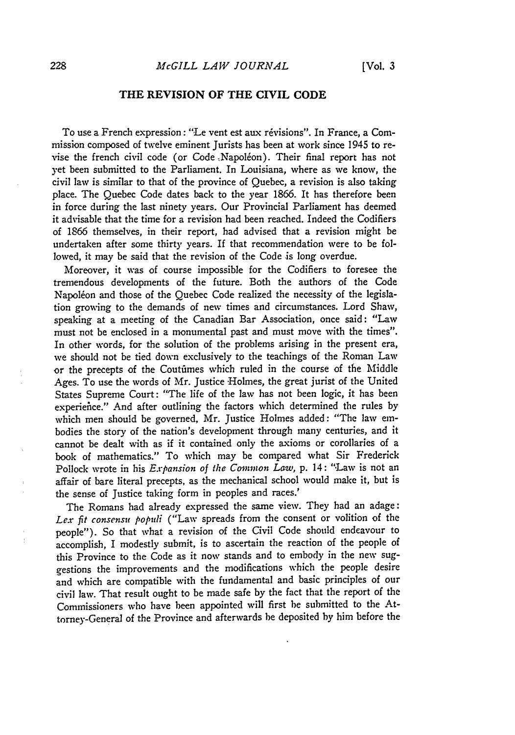## **THE REVISION OF THE CIVIL CODE**

To use a French expression: "Le vent est aux revisions". In France, a Commission composed of twelve eminent Jurists has been at work since 1945 to revise the french civil code (or Code .Napoleon). Their final report has not **yet** been submitted to the Parliament. In Louisiana, where as we know, the civil law is similar to that of the province of Quebec, a revision is also taking place. The Quebec Code dates back to the year 1866. It has therefore been in force during the last ninety years. Our Provincial Parliament has deemed it advisable that the time for a revision had been reached. Indeed the Codifiers of 1866 themselves, in their report, had advised that a revision might be undertaken after some thirty years. If that recommendation were to be followed, it may be said that the revision of the Code is long overdue.

Moreover, it was of course impossible for the Codifiers to foresee the tremendous developments of the future. Both the authors of the Code Napoléon and those of the Quebec Code realized the necessity of the legislation growing to the demands of new times and circumstances. Lord Shaw, speaking at a meeting of the Canadian Bar Association, once said: "Law must not be enclosed in a monumental past and must move with the times". In other words, for the solution of the problems arising in the present era, we should not be tied down exclusively to the teachings of the Roman Law or the precepts of the Coutfimes which ruled in the course of the Middle Ages. To use the words of Mr. Justice Holmes, the great jurist of the United States Supreme Court: "The life of the law has not been logic, it has been experiehce." And after outlining the factors which determined the rules **by** which men should be governed, Mr. Justice Holmes added: "The law embodies the story of the nation's development through many centuries, and it cannot be dealt with as if it contained only the axioms or corollaries of a book of mathematics." To which may be compared what Sir Frederick Pollock wrote in his *Expansion of* the *Common Law,* p. 14: "Law is not an affair of bare literal precepts, as the mechanical school would make it, but is the sense of Justice taking form in peoples and races.'

The Romans had already expressed the same view. They had an adage: *Lex fit consensu populi* ("Law spreads from the consent or volition of the people"). So that what a revision of the Civil Code should endavour to accomplish, I modestly submit, is to ascertain the reaction of the people of this Province to the Code as it now stands and to embody in the new suggestions the improvements and the modifications which the people desire and which are compatible with the fundamental and basic principles of our civil law. That result ought to be made safe **by** the fact that the report of the Commissioners who have been appointed will first be submitted to the Attorney-General of the Province and afterwards be deposited **by** him before the